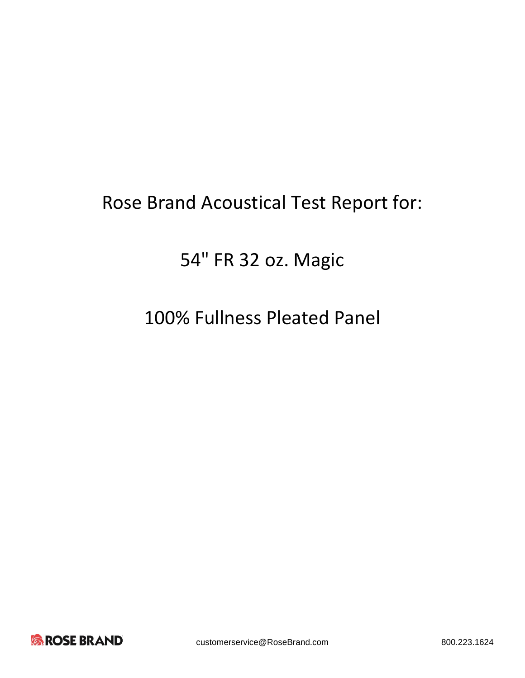# Rose Brand Acoustical Test Report for:

# 54" FR 32 oz. Magic

# 100% Fullness Pleated Panel

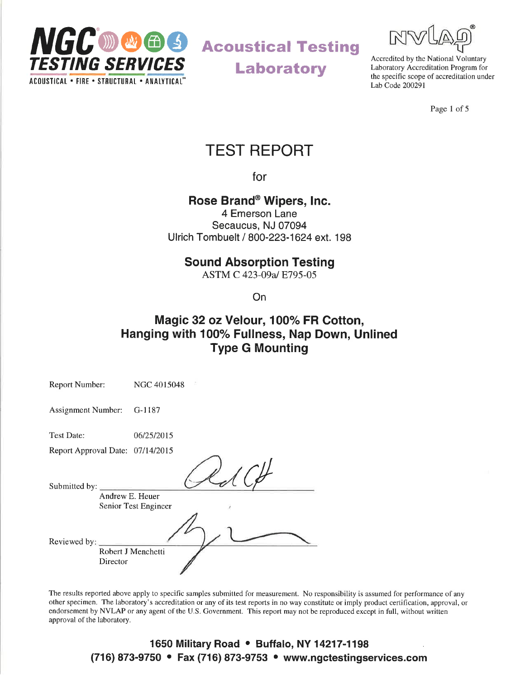

Laboratory



Accredited by the National Voluntary Laboratory Accreditation Program for the specific scope of accreditation under Lab Code 200291

Page 1 of 5

## TEST REPORT

for

### Rose Brand<sup>®</sup> Wipers, Inc.

4 Emerson Lane Secaucus, NJ 07094 Ulrich Tombuelt / 800-223-1624 ext. 198

#### Sound Absorption Testing

ASTM C 423-09a/ E795-05

On

### Magic 32 oz Velour, 100% FR Cotton, Hanging with 100% Fullness, Nap Down, Unlined Type G Mounting

| <b>Report Number:</b>            |                 | NGC 4015048          |
|----------------------------------|-----------------|----------------------|
| <b>Assignment Number:</b>        |                 | G-1187               |
| <b>Test Date:</b>                |                 | 06/25/2015           |
| Report Approval Date: 07/14/2015 |                 |                      |
| Submitted by:                    | Andrew E. Heuer | Senior Test Engineer |
| Reviewed by:                     | Director        | Robert J Menchetti   |

The results reported above apply to specific samples submitted for measurement. No responsibility is assumed for performance of any other specimen. The laboratory's accreditation or any of its test reports in no way constitute or imply product certification, approval, or endorsement by NVLAP or any agent of the U.S. Government. This report may not be reproduced except in full, without written approval of the laboratory.

#### 1650 Military Road • Buffalo, NY 14217-1198 (716) 873-9750 • Fax (716) 873-9753 • www.ngctestingservices.com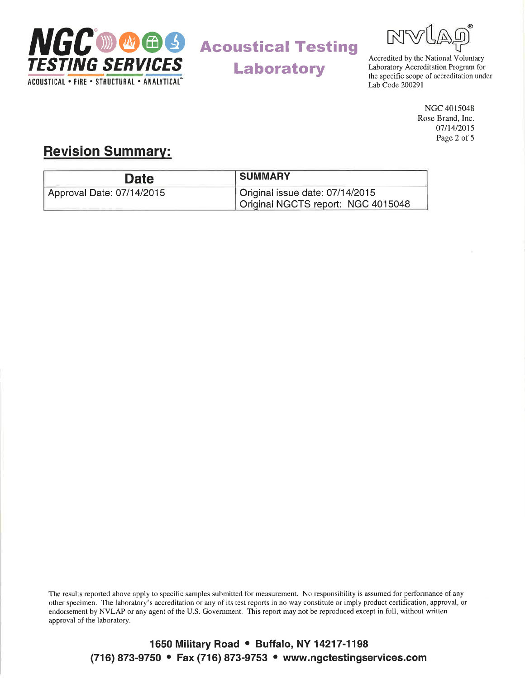

Laboratory



Laboratory Accreditation Program for the specific scope of accreditation under Lab Code 200291

> NGC 4015048 Rose Brand, Inc. 07114/2015 Page 2 of 5

### Revision Summarv:

| <b>Date</b>               | <b>SUMMARY</b>                     |
|---------------------------|------------------------------------|
| Approval Date: 07/14/2015 | Original issue date: 07/14/2015    |
|                           | Original NGCTS report: NGC 4015048 |

The results reported above apply to specific samples submitted for measurement. No responsibility is assumed for performance of any other specimen. The laboratory's accreditation or any of its test reports in no way constitute or imply product certification, approval, or endorsement by NVLAP or any agent of the U.S. Government. This report may not be reproduced except in full, without written approval of the laboratory.

> 1650 Military Road • Buffalo, NY 14217-1198 (716) 873-9750 • Fax (716) 873-9753 • www.ngctestingservices.com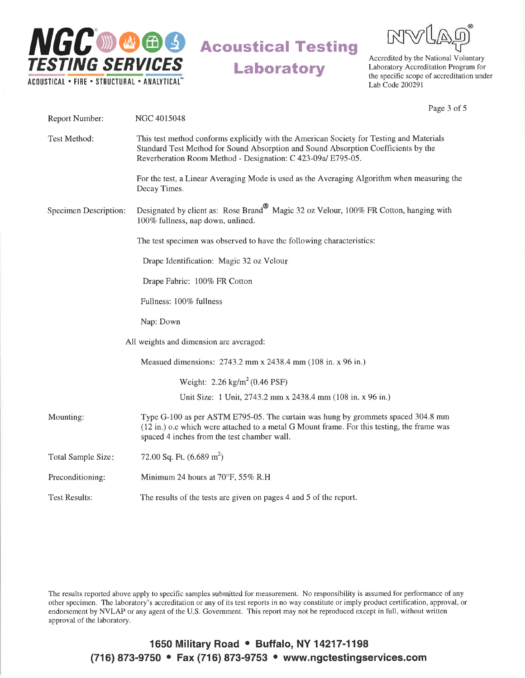



Accredited by the National Voluntary Laboratory Accreditation Program for the specific scope of accreditation under Lab Code 200291

Page 3 of 5

| Report Number:        | NGC 4015048                                                                                                                                                                                                                                    |  |
|-----------------------|------------------------------------------------------------------------------------------------------------------------------------------------------------------------------------------------------------------------------------------------|--|
| Test Method:          | This test method conforms explicitly with the American Society for Testing and Materials<br>Standard Test Method for Sound Absorption and Sound Absorption Coefficients by the<br>Reverberation Room Method - Designation: C 423-09a/ E795-05. |  |
|                       | For the test, a Linear Averaging Mode is used as the Averaging Algorithm when measuring the<br>Decay Times.                                                                                                                                    |  |
| Specimen Description: | Designated by client as: Rose Brand <sup>®</sup> Magic 32 oz Velour, 100% FR Cotton, hanging with<br>100% fullness, nap down, unlined.                                                                                                         |  |
|                       | The test specimen was observed to have the following characteristics:                                                                                                                                                                          |  |
|                       | Drape Identification: Magic 32 oz Velour                                                                                                                                                                                                       |  |
|                       | Drape Fabric: 100% FR Cotton                                                                                                                                                                                                                   |  |
|                       | Fullness: 100% fullness                                                                                                                                                                                                                        |  |
|                       | Nap: Down                                                                                                                                                                                                                                      |  |
|                       | All weights and dimension are averaged:                                                                                                                                                                                                        |  |
|                       | Measued dimensions: 2743.2 mm x 2438.4 mm (108 in. x 96 in.)                                                                                                                                                                                   |  |
|                       | Weight: $2.26 \text{ kg/m}^2 (0.46 \text{ PSF})$                                                                                                                                                                                               |  |
|                       | Unit Size: 1 Unit, 2743.2 mm x 2438.4 mm (108 in. x 96 in.)                                                                                                                                                                                    |  |
| Mounting:             | Type G-100 as per ASTM E795-05. The curtain was hung by grommets spaced 304.8 mm<br>(12 in.) o.c which were attached to a metal G Mount frame. For this testing, the frame was<br>spaced 4 inches from the test chamber wall.                  |  |
| Total Sample Size:    | 72.00 Sq. Ft. $(6.689 \text{ m}^2)$                                                                                                                                                                                                            |  |
| Preconditioning:      | Minimum 24 hours at 70°F, 55% R.H                                                                                                                                                                                                              |  |
| <b>Test Results:</b>  | The results of the tests are given on pages 4 and 5 of the report.                                                                                                                                                                             |  |

The results reported above apply to specifìc samples submitted for measurement. No responsibility is assumed for performance of any other specimen. The laboratory's accreditation or any of its test reports in no way constitute or imply product certification, approval, or endorsement by NVLAP or any agent of the U.S. Government. This report may not be reproduced except in full, without written approval of the laboratory.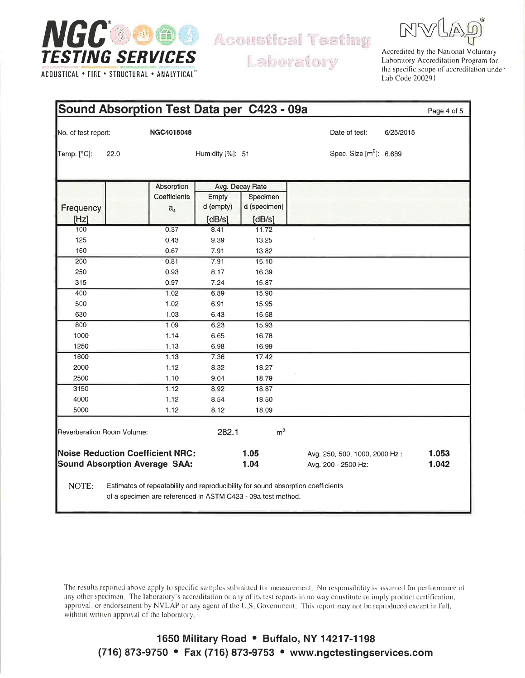

ACOUSTICAL . FIRE . STRUCTURAL . ANALYTICAL"

**Acoustical Testing** 

Laboratory

Accredited by the National Voluntary Laboratory Accreditation Program for the specific scope of accreditation under Lab Code 200291

|                     |                                      |                                         |                  | Sound Absorption Test Data per C423 - 09a                                                                                                        |                                     |           | Page 4 of 5 |
|---------------------|--------------------------------------|-----------------------------------------|------------------|--------------------------------------------------------------------------------------------------------------------------------------------------|-------------------------------------|-----------|-------------|
| No. of test report: |                                      | NGC4015048                              |                  |                                                                                                                                                  | Date of test:                       | 6/25/2015 |             |
| Temp. [°C]:         | 22.0                                 |                                         | Humidity [%]: 51 |                                                                                                                                                  | Spec. Size [m <sup>2</sup> ]: 6.689 |           |             |
|                     |                                      |                                         |                  |                                                                                                                                                  |                                     |           |             |
|                     |                                      | Absorption                              |                  | Avg. Decay Rate                                                                                                                                  |                                     |           |             |
|                     |                                      | Coefficients                            | Empty            | Specimen                                                                                                                                         |                                     |           |             |
| Frequency           |                                      | a <sub>s</sub>                          | d (empty)        | d (specimen)                                                                                                                                     |                                     |           |             |
| [Hz]                |                                      |                                         | [dB/s]           | [dB/s]                                                                                                                                           |                                     |           |             |
| 100                 |                                      | 0.37                                    | 8.41             | 11.72                                                                                                                                            |                                     |           |             |
| 125                 |                                      | 0.43                                    | 9.39             | 13.25                                                                                                                                            |                                     |           |             |
| 160                 |                                      | 0.67                                    | 7.91             | 13.82                                                                                                                                            |                                     |           |             |
| 200                 |                                      | 0.81                                    | 7.91             | 15.10                                                                                                                                            |                                     |           |             |
| 250                 |                                      | 0.93                                    | 8.17             | 16.39                                                                                                                                            |                                     |           |             |
| 315                 |                                      | 0.97                                    | 7.24             | 15.87                                                                                                                                            |                                     |           |             |
| 400                 |                                      | 1.02                                    | 6.89             | 15.90                                                                                                                                            |                                     |           |             |
| 500                 |                                      | 1.02                                    | 6.91             | 15.95                                                                                                                                            |                                     |           |             |
| 630                 |                                      | 1.03                                    | 6.43             | 15.58                                                                                                                                            |                                     |           |             |
| 800                 |                                      | 1.09                                    | 6.23             | 15.93                                                                                                                                            |                                     |           |             |
| 1000                |                                      | 1.14                                    | 6.65             | 16.78                                                                                                                                            |                                     |           |             |
| 1250                |                                      | 1.13                                    | 6.98             | 16.99                                                                                                                                            |                                     |           |             |
| 1600                |                                      | 1.13                                    | 7.36             | 17.42                                                                                                                                            |                                     |           |             |
| 2000                |                                      | 1.12                                    | 8.32             | 18.27                                                                                                                                            |                                     |           |             |
| 2500                |                                      | 1.10                                    | 9.04             | 18.79                                                                                                                                            |                                     |           |             |
| 3150                |                                      | 1.12                                    | 8.92             | 18.87                                                                                                                                            |                                     |           |             |
| 4000                |                                      | 1.12                                    | 8.54             | 18.50                                                                                                                                            |                                     |           |             |
| 5000                |                                      | 1.12                                    | 8.12             | 18.09                                                                                                                                            |                                     |           |             |
|                     | Reverberation Room Volume:           |                                         | 282.1            | m <sup>3</sup>                                                                                                                                   |                                     |           |             |
|                     |                                      | <b>Noise Reduction Coefficient NRC:</b> |                  | 1.05                                                                                                                                             | Avg. 250, 500, 1000, 2000 Hz:       |           | 1.053       |
|                     | <b>Sound Absorption Average SAA:</b> |                                         |                  | 1.04                                                                                                                                             | Avg. 200 - 2500 Hz:                 |           | 1.042       |
| NOTE:               |                                      |                                         |                  | Estimates of repeatability and reproducibility for sound absorption coefficients<br>of a specimen are referenced in ASTM C423 - 09a test method. |                                     |           |             |

The results reported above apply to specific samples submitted for measurement. No responsibility is assumed for performance of any other specimen. The laboratory's accreditation or any of its test reports in no way constitute or imply product certification, approval, or endorsement by NVLAP or any agent of the U.S. Government. This report may not be reproduced except in full, without written approval of the laboratory.